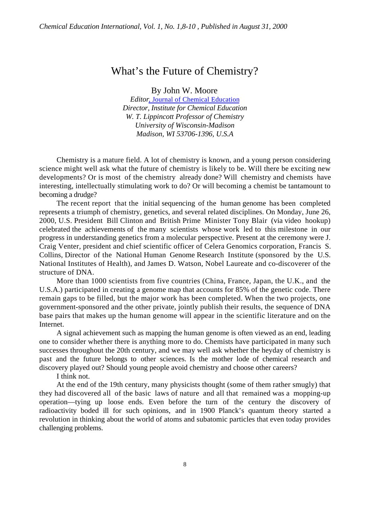## What's the Future of Chemistry?

By John W. Moore

*Editor*, Journal of Chemical Education *Director, Institute for Chemical Education W. T. Lippincott Professor of Chemistry University of Wisconsin-Madison Madison, WI 53706-1396, U.S.A*

Chemistry is a mature field. A lot of chemistry is known, and a young person considering science might well ask what the future of chemistry is likely to be. Will there be exciting new developments? Or is most of the chemistry already done? Will chemistry and chemists have interesting, intellectually stimulating work to do? Or will becoming a chemist be tantamount to becoming a drudge?

The recent report that the initial sequencing of the human genome has been completed represents a triumph of chemistry, genetics, and several related disciplines. On Monday, June 26, 2000, U.S. President Bill Clinton and British Prime Minister Tony Blair (via video hookup) celebrated the achievements of the many scientists whose work led to this milestone in our progress in understanding genetics from a molecular perspective. Present at the ceremony were J. Craig Venter, president and chief scientific officer of Celera Genomics corporation, Francis S. Collins, Director of the National Human Genome Research Institute (sponsored by the U.S. National Institutes of Health), and James D. Watson, Nobel Laureate and co-discoverer of the structure of DNA.

More than 1000 scientists from five countries (China, France, Japan, the U.K., and the U.S.A.) participated in creating a genome map that accounts for 85% of the genetic code. There remain gaps to be filled, but the major work has been completed. When the two projects, one government-sponsored and the other private, jointly publish their results, the sequence of DNA base pairs that makes up the human genome will appear in the scientific literature and on the Internet.

A signal achievement such as mapping the human genome is often viewed as an end, leading one to consider whether there is anything more to do. Chemists have participated in many such successes throughout the 20th century, and we may well ask whether the heyday of chemistry is past and the future belongs to other sciences. Is the mother lode of chemical research and discovery played out? Should young people avoid chemistry and choose other careers?

I think not.

At the end of the 19th century, many physicists thought (some of them rather smugly) that they had discovered all of the basic laws of nature and all that remained was a mopping-up operation—tying up loose ends. Even before the turn of the century the discovery of radioactivity boded ill for such opinions, and in 1900 Planck's quantum theory started a revolution in thinking about the world of atoms and subatomic particles that even today provides challenging problems.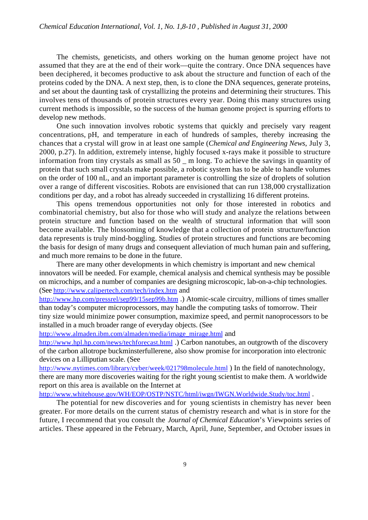The chemists, geneticists, and others working on the human genome project have not assumed that they are at the end of their work—quite the contrary. Once DNA sequences have been deciphered, it becomes productive to ask about the structure and function of each of the proteins coded by the DNA. A next step, then, is to clone the DNA sequences, generate proteins, and set about the daunting task of crystallizing the proteins and determining their structures. This involves tens of thousands of protein structures every year. Doing this many structures using current methods is impossible, so the success of the human genome project is spurring efforts to develop new methods.

One such innovation involves robotic systems that quickly and precisely vary reagent concentrations, pH, and temperature in each of hundreds of samples, thereby increasing the chances that a crystal will grow in at least one sample (*Chemical and Engineering News*, July 3, 2000, p.27). In addition, extremely intense, highly focused x-rays make it possible to structure information from tiny crystals as small as 50 \_ m long. To achieve the savings in quantity of protein that such small crystals make possible, a robotic system has to be able to handle volumes on the order of 100 nL, and an important parameter is controlling the size of droplets of solution over a range of different viscosities. Robots are envisioned that can run 138,000 crystallization conditions per day, and a robot has already succeeded in crystallizing 16 different proteins.

This opens tremendous opportunities not only for those interested in robotics and combinatorial chemistry, but also for those who will study and analyze the relations between protein structure and function based on the wealth of structural information that will soon become available. The blossoming of knowledge that a collection of protein structure/function data represents is truly mind-boggling. Studies of protein structures and functions are becoming the basis for design of many drugs and consequent alleviation of much human pain and suffering, and much more remains to be done in the future.

There are many other developments in which chemistry is important and new chemical innovators will be needed. For example, chemical analysis and chemical synthesis may be possible on microchips, and a number of companies are designing microscopic, lab-on-a-chip technologies. (See http://www.calipertech.com/tech/index.htm and

http://www.hp.com/pressrel/sep99/15sep99b.htm .) Atomic-scale circuitry, millions of times smaller than today's computer microprocessors, may handle the computing tasks of tomorrow. Their tiny size would minimize power consumption, maximize speed, and permit nanoprocessors to be installed in a much broader range of everyday objects. (See

http://www.almaden.ibm.com/almaden/media/image\_mirage.html and

http://www.hpl.hp.com/news/techforecast.html .) Carbon nanotubes, an outgrowth of the discovery of the carbon allotrope buckminsterfullerene, also show promise for incorporation into electronic devices on a Lilliputian scale. (See

http://www.nytimes.com/library/cyber/week/021798molecule.html ) In the field of nanotechnology, there are many more discoveries waiting for the right young scientist to make them. A worldwide report on this area is available on the Internet at

http://www.whitehouse.gov/WH/EOP/OSTP/NSTC/html/iwgn/IWGN.Worldwide.Study/toc.html .

The potential for new discoveries and for young scientists in chemistry has never been greater. For more details on the current status of chemistry research and what is in store for the future, I recommend that you consult the *Journal of Chemical Education*'s Viewpoints series of articles. These appeared in the February, March, April, June, September, and October issues in